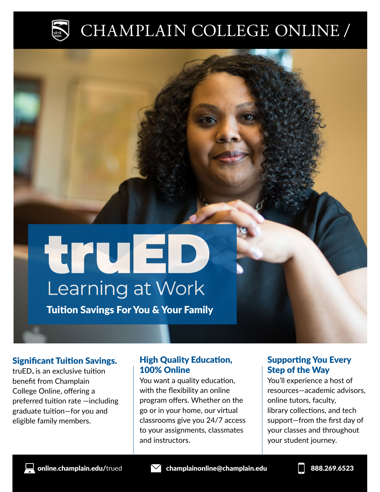

## CHAMPLAIN COLLEGE ONLINE /

## <u>true</u> Learning at Work

Tuition Savings For You & Your Family

### Significant Tuition Savings.

truED® is an exclusive tuition benefit from Champlain College Online, offering a preferred tuition rate —including graduate tuition—for you and eligible family members.

### High Quality Education, 100% Online

You want a quality education, with the flexibility an online program offers. Whether on the go or in your home, our virtual classrooms give you 24/7 access to your assignments, classmates and instructors.

### Supporting You Every Step of the Way

You'll experience a host of resources—academic advisors, online tutors, faculty, library collections, and tech support—from the first day of your classes and throughout your student journey.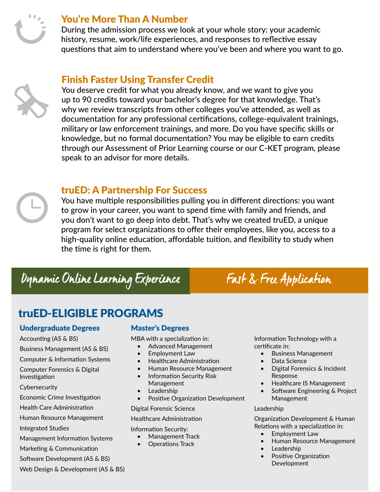

### You're More Than A Number

During the admission process we look at your whole story: your academic history, resume, work/life experiences, and responses to reflective essay questions that aim to understand where you've been and where you want to go.

### Finish Faster Using Transfer Credit



You deserve credit for what you already know, and we want to give you up to 90 credits toward your bachelor's degree for that knowledge. That's why we review transcripts from other colleges you've attended, as well as documentation for any professional certifications, college-equivalent trainings, military or law enforcement trainings, and more. Do you have specific skills or knowledge, but no formal documentation? You may be eligible to earn credits through our Assessment of Prior Learning course or our C-KET program, please speak to an advisor for more details.

### truED: A Partnership For Success

You have multiple responsibilities pulling you in different directions: you want to grow in your career, you want to spend time with family and friends, and you don't want to go deep into debt. That's why we created truED, a unique program for select organizations to offer their employees, like you, access to a high-quality online education, affordable tuition, and flexibility to study when the time is right for them.

### Dynamic Online Learning Experience Fast & Free Application

### truED-ELIGIBLE PROGRAMS

### Undergraduate Degrees

Accounting (AS & BS)

Business Management (AS & BS)

Computer & Information Systems

Computer Forensics & Digital Investigation

**Cybersecurity** 

Economic Crime Investigation

Health Care Administration

Human Resource Management

Integrated Studies

Management Information Systems

Marketing & Communication

Software Development (AS & BS)

Web Design & Development (AS & BS)

### Master's Degrees

MBA with a specialization in:

- Advanced Management
- Employment Law
- Healthcare Administration
- Human Resource Management
- Information Security Risk Management
- Leadership
- Positive Organization Development

Digital Forensic Science

#### Healthcare Administration

Information Security:

- Management Track
- Operations Track

Information Technology with a certificate in:

- Business Management
- Data Science
- Digital Forensics & Incident Response
- Healthcare IS Management
- Software Engineering & Project Management

#### Leadership

Organization Development & Human Relations with a specialization in:

- Employment Law
- Human Resource Management
- Leadership
- Positive Organization Development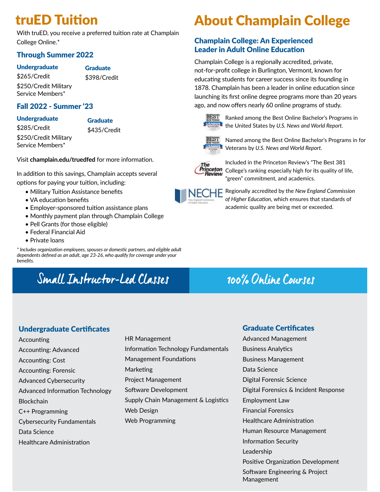### truED Tuition

With truED, you receive a preferred tuition rate at Champlain College Online.\*

### Through Summer 2022

#### Undergraduate

#### **Graduate** \$398/Credit

\$265/Credit \$250/Credit Military Service Members\*

Fall 2022 - Summer '23

Undergraduate \$285/Credit \$250/Credit Military

**Graduate** \$435/Credit

Service Members\*

Visit **champlain.edu/truedfed** for more information.

In addition to this savings, Champlain accepts several options for paying your tuition, including:

- Military Tuition Assistance benefits
- VA education benefits
- Employer-sponsored tuition assistance plans
- Monthly payment plan through Champlain College
- Pell Grants (for those eligible)
- Federal Financial Aid
- Private loans

*\* Includes organization employees, spouses or domestic partners, and eligible adult dependents defined as an adult, age 23-26, who qualify for coverage under your benefits.*

### Small Instructor-Led Classes 100% Online Courses

### About Champlain College

### Champlain College: An Experienced Leader in Adult Online Education

Champlain College is a regionally accredited, private, not-for-profit college in Burlington, Vermont, known for educating students for career success since its founding in 1878. Champlain has been a leader in online education since launching its first online degree programs more than 20 years ago, and now offers nearly 60 online programs of study.



Ranked among the Best Online Bachelor's Programs in **<u>LUSNews</u>** the United States by U.S. News and World Report.



 $\frac{\text{BEST}}{\text{M}}$  Named among the Best Online Bachelor's Programs in for Veterans by *U.S. News and World Report.*



Included in the Princeton Review's "The Best 381 Princeton<br>Princeton College's ranking especially high for its quality of life,<br>— Review "green" commitment, and academics.



Regionally accredited by the *New England Commission of Higher Education*, which ensures that standards of academic quality are being met or exceeded.

#### Undergraduate Certificates

- Accounting Accounting: Advanced Accounting: Cost Accounting: Forensic Advanced Cybersecurity Advanced Information Technology **Blockchain** C++ Programming Cybersecurity Fundamentals Data Science Healthcare Administration
- HR Management Information Technology Fundamentals Management Foundations Marketing Project Management Software Development Supply Chain Management & Logistics Web Design Web Programming

### Graduate Certificates

Advanced Management Business Analytics Business Management Data Science Digital Forensic Science Digital Forensics & Incident Response Employment Law Financial Forensics Healthcare Administration Human Resource Management Information Security Leadership Positive Organization Development Software Engineering & Project Management